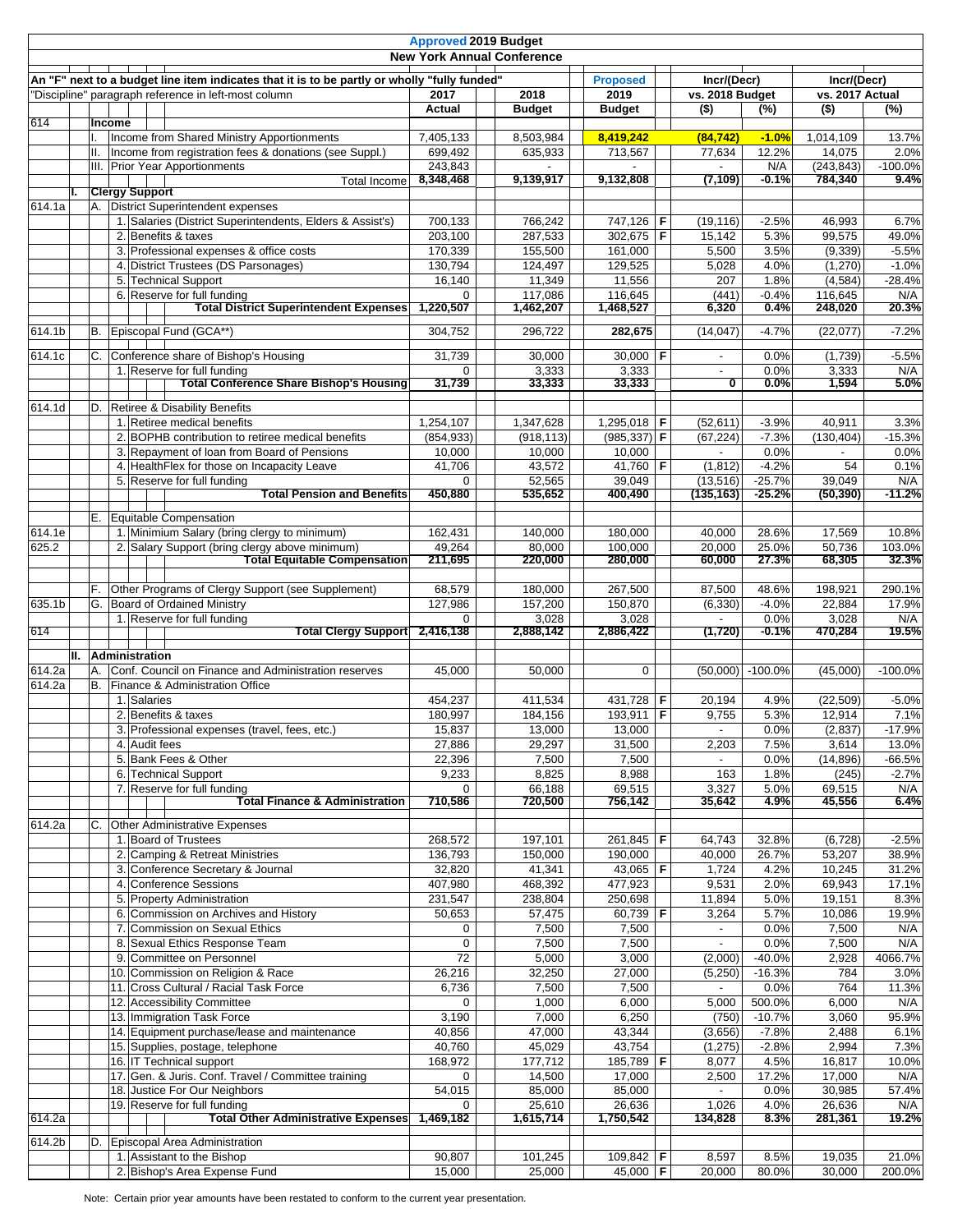|        |    |           |        |                                                                                                      | <b>Approved 2019 Budget</b> | <b>New York Annual Conference</b> |                       |                                |                     |                                |                     |
|--------|----|-----------|--------|------------------------------------------------------------------------------------------------------|-----------------------------|-----------------------------------|-----------------------|--------------------------------|---------------------|--------------------------------|---------------------|
|        |    |           |        | An "F" next to a budget line item indicates that it is to be partly or wholly "fully funded"         |                             |                                   | <b>Proposed</b>       |                                |                     |                                |                     |
|        |    |           |        | "Discipline" paragraph reference in left-most column                                                 | 2017<br>2018                |                                   | 2019                  | Incr/(Decr)<br>vs. 2018 Budget |                     | Incr/(Decr)<br>vs. 2017 Actual |                     |
|        |    |           |        |                                                                                                      | Actual                      | <b>Budget</b>                     | <b>Budget</b>         | $($ \$)                        | (%)                 | $($ \$)                        | (%)                 |
| 614    |    |           | Income |                                                                                                      |                             |                                   |                       |                                |                     |                                |                     |
|        |    | H.        |        | Income from Shared Ministry Apportionments<br>Income from registration fees & donations (see Suppl.) | 7,405,133<br>699,492        | 8,503,984<br>635,933              | 8,419,242<br>713,567  | (84, 742)<br>77,634            | $-1.0%$<br>12.2%    | 1,014,109<br>14,075            | 13.7%<br>2.0%       |
|        |    |           |        | III. Prior Year Apportionments                                                                       | 243,843                     |                                   |                       |                                | N/A                 | (243, 843)                     | $-100.0%$           |
|        |    |           |        | <b>Total Income</b>                                                                                  | 8,348,468                   | 9,139,917                         | 9,132,808             | (7, 109)                       | -0.1%               | 784,340                        | 9.4%                |
|        | L. |           |        | <b>Clergy Support</b>                                                                                |                             |                                   |                       |                                |                     |                                |                     |
| 614.1a |    | Α.        |        | District Superintendent expenses<br>1. Salaries (District Superintendents, Elders & Assist's)        | 700.133                     | 766,242                           | 747,126 F             | (19, 116)                      | $-2.5%$             | 46,993                         | 6.7%                |
|        |    |           |        | 2. Benefits & taxes                                                                                  | 203,100                     | 287,533                           | 302,675 F             | 15,142                         | 5.3%                | 99,575                         | 49.0%               |
|        |    |           |        | 3. Professional expenses & office costs                                                              | 170,339                     | 155,500                           | 161,000               | 5,500                          | 3.5%                | (9, 339)                       | $-5.5%$             |
|        |    |           |        | 4. District Trustees (DS Parsonages)                                                                 | 130,794                     | 124,497                           | 129,525               | 5,028                          | 4.0%                | (1,270)                        | $-1.0%$             |
|        |    |           |        | 5. Technical Support                                                                                 | $\overline{16,140}$         | 11,349                            | 11,556                | 207                            | 1.8%                | (4, 584)                       | $-28.4%$            |
|        |    |           |        | 6. Reserve for full funding                                                                          | $\Omega$                    | 117,086                           | 116,645               | (441)                          | $-0.4%$             | 116,645                        | N/A                 |
|        |    |           |        | <b>Total District Superintendent Expenses</b>                                                        | 1,220,507                   | 1,462,207                         | 1,468,527             | 6,320                          | 0.4%                | 248,020                        | 20.3%               |
| 614.1b |    | B.        |        | Episcopal Fund (GCA**)                                                                               | 304,752                     | 296,722                           | 282,675               | (14, 047)                      | $-4.7%$             | (22, 077)                      | $-7.2%$             |
| 614.1c |    | C.        |        | Conference share of Bishop's Housing                                                                 | 31,739                      | 30,000                            | 30,000 $\overline{F}$ | $\overline{\phantom{a}}$       | 0.0%                | (1,739)                        | $-5.5%$             |
|        |    |           |        | 1. Reserve for full funding                                                                          | $\Omega$                    | 3,333                             | 3,333                 |                                | 0.0%                | 3,333                          | N/A                 |
|        |    |           |        | <b>Total Conference Share Bishop's Housing</b>                                                       | 31,739                      | 33,333                            | 33,333                | ◐                              | $0.0\%$             | 1,594                          | 5.0%                |
| 614.1d |    | D.        |        | Retiree & Disability Benefits                                                                        |                             |                                   |                       |                                |                     |                                |                     |
|        |    |           |        | 1. Retiree medical benefits                                                                          | 1.254.107                   | 1,347,628                         | 1,295,018   F         | (52, 611)                      | $-3.9%$             | 40,911                         | 3.3%                |
|        |    |           |        | 2. BOPHB contribution to retiree medical benefits                                                    | (854, 933)                  | (918, 113)                        | $(985, 337)$ F        | (67, 224)                      | $-7.3%$             | (130, 404)                     | $-15.3%$            |
|        |    |           |        | 3. Repayment of loan from Board of Pensions                                                          | 10,000                      | 10,000                            | 10,000                |                                | 0.0%                |                                | 0.0%                |
|        |    |           |        | 4. HealthFlex for those on Incapacity Leave<br>5. Reserve for full funding                           | 41,706<br>0                 | 43,572<br>52,565                  | 41,760 F<br>39,049    | (1, 812)<br>(13, 516)          | $-4.2%$<br>$-25.7%$ | 54<br>39,049                   | 0.1%<br>N/A         |
|        |    |           |        | <b>Total Pension and Benefits</b>                                                                    | 450,880                     | 535,652                           | 400,490               | (135,163)                      | -25.2%              | (50, 390)                      | -11.2%              |
|        |    |           |        |                                                                                                      |                             |                                   |                       |                                |                     |                                |                     |
| 614.1e |    |           |        | E. Equitable Compensation<br>1. Minimium Salary (bring clergy to minimum)                            | 162,431                     | 140,000                           | 180,000               | 40,000                         | 28.6%               | 17,569                         | 10.8%               |
| 625.2  |    |           |        | 2. Salary Support (bring clergy above minimum)                                                       | 49,264                      | 80,000                            | 100,000               | 20,000                         | 25.0%               | 50,736                         | 103.0%              |
|        |    |           |        | <b>Total Equitable Compensation</b>                                                                  | 211,695                     | 220,000                           | 280,000               | 60,000                         | 27.3%               | 68,305                         | 32.3%               |
|        |    |           |        |                                                                                                      |                             |                                   |                       |                                |                     |                                |                     |
|        |    | F.        |        | Other Programs of Clergy Support (see Supplement)                                                    | 68,579                      | 180,000                           | 267,500               | 87,500                         | 48.6%               | 198,921                        | 290.1%              |
| 635.1b |    |           |        | G. Board of Ordained Ministry<br>1. Reserve for full funding                                         | 127,986<br>0                | 157,200<br>3,028                  | 150,870<br>3,028      | (6, 330)                       | $-4.0%$<br>0.0%     | 22,884<br>3,028                | 17.9%<br>N/A        |
| 614    |    |           |        | <b>Total Clergy Support</b>                                                                          | 2,416,138                   | 2,888,142                         | 2,886,422             | (1,720)                        | $-0.1%$             | 470,284                        | 19.5%               |
|        |    |           |        |                                                                                                      |                             |                                   |                       |                                |                     |                                |                     |
| 614.2a |    | Α.        |        | II. Administration<br>Conf. Council on Finance and Administration reserves                           | 45,000                      | 50.000                            | $\mathbf 0$           |                                | $(50,000)$ -100.0%  | (45,000)                       | $-100.0%$           |
| 614.2a |    | <b>B.</b> |        | Finance & Administration Office                                                                      |                             |                                   |                       |                                |                     |                                |                     |
|        |    |           |        | 1. Salaries                                                                                          | 454,237                     | 411,534                           | 431,728 F             | 20.194                         | 4.9%                | (22, 509)                      | $-5.0%$             |
|        |    |           |        | 2. Benefits & taxes                                                                                  | 180,997                     | 184,156                           | 193,911 F             | 9,755                          | 5.3%                | 12,914                         | 7.1%                |
|        |    |           |        | 3. Professional expenses (travel, fees, etc.)                                                        | 15,837                      | 13,000                            | 13,000                |                                | 0.0%                | (2, 837)                       | $-17.9%$            |
|        |    |           |        | 4. Audit fees                                                                                        | 27,886                      | 29,297                            | 31,500                | 2,203                          | 7.5%                | 3,614                          | 13.0%               |
|        |    |           |        | 5. Bank Fees & Other<br>6. Technical Support                                                         | 22,396<br>9,233             | 7,500<br>8,825                    | 7,500<br>8,988        | 163                            | 0.0%<br>1.8%        | (14, 896)<br>(245)             | $-66.5%$<br>$-2.7%$ |
|        |    |           |        | 7. Reserve for full funding                                                                          | $\Omega$                    | 66.188                            | 69,515                | 3,327                          | 5.0%                | 69,515                         | N/A                 |
|        |    |           |        | <b>Total Finance &amp; Administration</b>                                                            | 710,586                     | 720,500                           | 756,142               | 35,642                         | 4.9%                | 45,556                         | 6.4%                |
| 614.2a |    | C.        |        | <b>Other Administrative Expenses</b>                                                                 |                             |                                   |                       |                                |                     |                                |                     |
|        |    |           |        | 1. Board of Trustees                                                                                 | 268,572                     | 197,101                           | 261,845 F             | 64,743                         | 32.8%               | (6, 728)                       | $-2.5%$             |
|        |    |           |        | 2. Camping & Retreat Ministries                                                                      | 136,793                     | 150,000                           | 190,000               | 40,000                         | 26.7%               | 53,207                         | 38.9%               |
|        |    |           |        | 3. Conference Secretary & Journal                                                                    | 32,820                      | 41,341                            | 43,065   <b>F</b>     | 1,724                          | 4.2%                | 10,245                         | 31.2%               |
|        |    |           |        | 4. Conference Sessions                                                                               | 407,980                     | 468,392                           | 477,923               | 9,531                          | 2.0%                | 69,943                         | 17.1%               |
|        |    |           |        | 5. Property Administration<br>6. Commission on Archives and History                                  | 231,547<br>50,653           | 238,804                           | 250,698<br>60,739 F   | 11,894<br>3,264                | 5.0%<br>5.7%        | 19,151                         | 8.3%                |
|        |    |           |        | 7. Commission on Sexual Ethics                                                                       | $\mathbf 0$                 | 57,475<br>7,500                   | 7,500                 | $\overline{\phantom{a}}$       | 0.0%                | 10,086<br>7,500                | 19.9%<br>N/A        |
|        |    |           |        | 8. Sexual Ethics Response Team                                                                       | $\mathbf 0$                 | 7,500                             | 7,500                 | $\overline{\phantom{a}}$       | 0.0%                | 7,500                          | N/A                 |
|        |    |           |        | 9. Committee on Personnel                                                                            | $\overline{72}$             | 5,000                             | 3,000                 | (2,000)                        | $-40.0%$            | 2,928                          | 4066.7%             |
|        |    |           |        | 10. Commission on Religion & Race                                                                    | 26,216                      | 32,250                            | 27,000                | (5,250)                        | $-16.3%$            | 784                            | 3.0%                |
|        |    |           |        | 11. Cross Cultural / Racial Task Force                                                               | 6,736                       | 7,500                             | 7,500                 |                                | 0.0%                | 764                            | 11.3%               |
|        |    |           |        | 12. Accessibility Committee                                                                          | 0                           | 1,000                             | 6,000                 | 5,000                          | 500.0%              | 6,000                          | N/A                 |
|        |    |           |        | 13. Immigration Task Force<br>14. Equipment purchase/lease and maintenance                           | 3,190<br>40,856             | 7,000<br>47,000                   | 6,250<br>43,344       | (750)<br>(3,656)               | $-10.7%$<br>$-7.8%$ | 3,060<br>2,488                 | 95.9%<br>6.1%       |
|        |    |           |        | 15. Supplies, postage, telephone                                                                     | 40,760                      | 45,029                            | 43,754                | (1,275)                        | $-2.8%$             | 2,994                          | 7.3%                |
|        |    |           |        | 16. IT Technical support                                                                             | 168,972                     | 177,712                           | 185,789 $F$           | 8,077                          | 4.5%                | 16,817                         | 10.0%               |
|        |    |           |        | 17. Gen. & Juris. Conf. Travel / Committee training                                                  | 0                           | 14,500                            | 17,000                | 2,500                          | 17.2%               | 17,000                         | N/A                 |
|        |    |           |        | 18. Justice For Our Neighbors                                                                        | 54,015                      | 85,000                            | 85,000                |                                | 0.0%                | 30,985                         | 57.4%               |
|        |    |           |        | 19. Reserve for full funding                                                                         | 0                           | 25,610                            | 26,636                | 1,026                          | 4.0%                | 26,636                         | N/A                 |
| 614.2a |    |           |        | Total Other Administrative Expenses                                                                  | 1,469,182                   | 1,615,714                         | 1,750,542             | 134,828                        | 8.3%                | 281,361                        | 19.2%               |
| 614.2b |    | D.        |        | Episcopal Area Administration                                                                        |                             |                                   |                       |                                |                     |                                |                     |
|        |    |           |        | 1. Assistant to the Bishop                                                                           | 90,807                      | 101,245                           | 109,842 F             | 8,597                          | 8.5%                | 19,035                         | 21.0%               |
|        |    |           |        | 2. Bishop's Area Expense Fund                                                                        | 15,000                      | 25,000                            | 45,000   <b>F</b>     | 20,000                         | 80.0%               | 30,000                         | 200.0%              |

Note: Certain prior year amounts have been restated to conform to the current year presentation.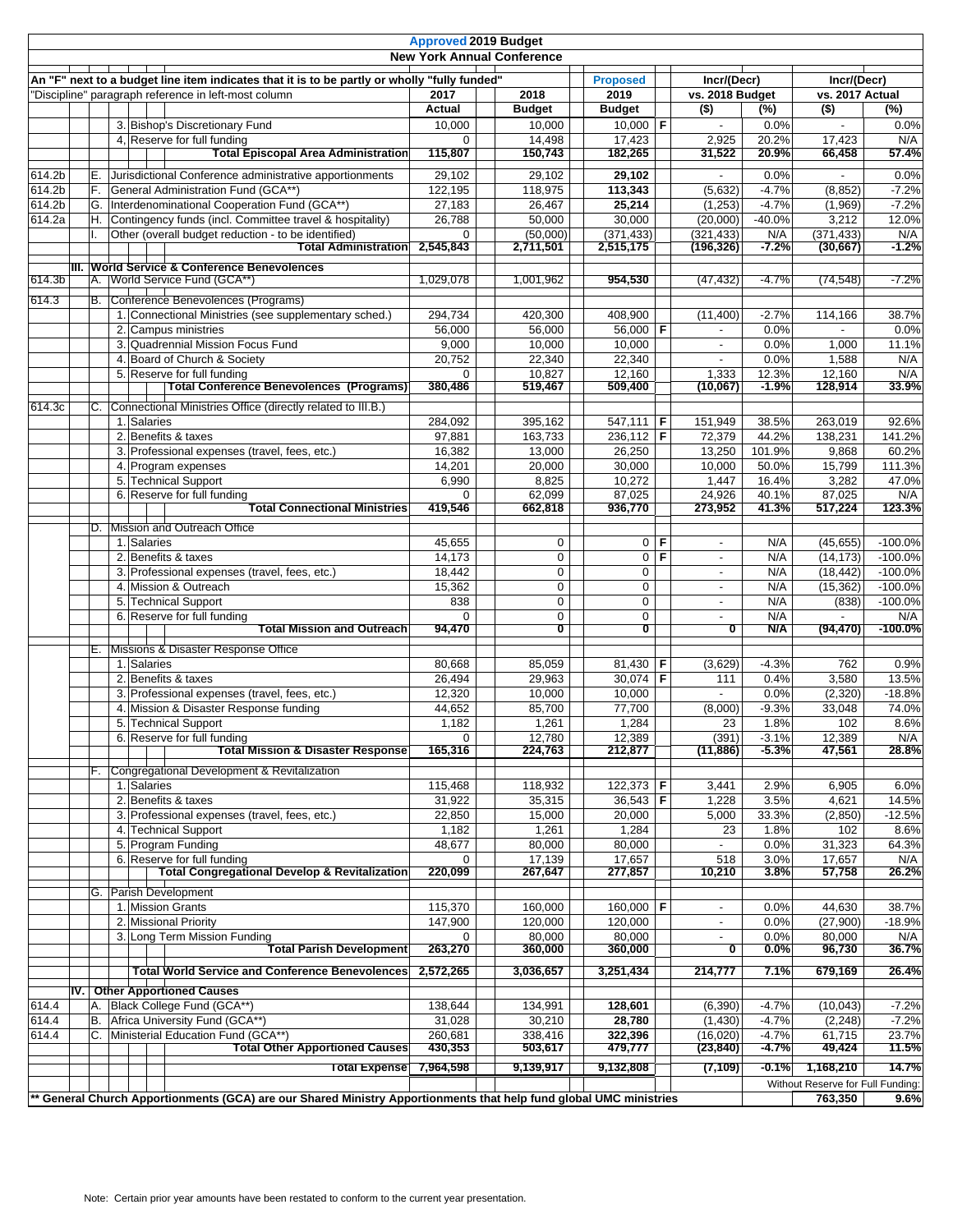|        |     |                                                                                                                                                      |                       | <b>Approved 2019 Budget</b><br><b>New York Annual Conference</b> |           |                               |            |                                |                  |                                   |                   |
|--------|-----|------------------------------------------------------------------------------------------------------------------------------------------------------|-----------------------|------------------------------------------------------------------|-----------|-------------------------------|------------|--------------------------------|------------------|-----------------------------------|-------------------|
|        |     | An "F" next to a budget line item indicates that it is to be partly or wholly "fully funded"<br>"Discipline" paragraph reference in left-most column | 2017                  | 2018                                                             |           | <b>Proposed</b><br>2019       |            | Incr/(Decr)<br>vs. 2018 Budget |                  | Incr/(Decr)<br>vs. 2017 Actual    |                   |
|        |     |                                                                                                                                                      | Actual                | <b>Budget</b>                                                    |           | <b>Budget</b>                 |            | $($ \$)                        | (%)              | $\overline{(*)}$                  | (%)               |
|        |     | 3. Bishop's Discretionary Fund                                                                                                                       | 10,000                | 10,000                                                           |           | $10,000$ F                    |            | $\blacksquare$                 | 0.0%             | $\overline{\phantom{a}}$          | 0.0%              |
|        |     | 4. Reserve for full funding<br><b>Total Episcopal Area Administration</b>                                                                            | $\Omega$<br>115,807   | 14,498<br>150,743                                                |           | 17,423<br>182,265             |            | 2,925<br>31,522                | 20.2%<br>20.9%   | 17,423<br>66,458                  | N/A<br>57.4%      |
| 614.2b | Е.  | Jurisdictional Conference administrative apportionments                                                                                              | 29,102                | 29,102                                                           |           | 29,102                        |            |                                | 0.0%             |                                   | 0.0%              |
| 614.2b | F.  | General Administration Fund (GCA**)                                                                                                                  | 122,195               | 118,975                                                          |           | 113,343                       |            | (5,632)                        | $-4.7%$          | (8, 852)                          | $-7.2%$           |
| 614.2b | G.  | Interdenominational Cooperation Fund (GCA**)                                                                                                         | 27,183                | 26,467                                                           |           | 25,214                        |            | (1,253)                        | $-4.7%$          | (1,969)                           | $-7.2%$           |
| 614.2a | H.  | Contingency funds (incl. Committee travel & hospitality)                                                                                             | 26,788                | 50,000                                                           |           | 30,000                        |            | (20,000)                       | $-40.0%$         | 3,212                             | 12.0%             |
|        |     | Other (overall budget reduction - to be identified)<br><b>Total Administration</b>                                                                   | $\Omega$<br>2,545,843 | (50,000)<br>2,711,501                                            |           | (371, 433)<br>2,515,175       |            | (321, 433)<br>(196,326)        | N/A<br>$-7.2%$   | (371, 433)<br>(30, 667)           | N/A<br>$-1.2%$    |
|        |     | III. World Service & Conference Benevolences                                                                                                         |                       |                                                                  |           |                               |            |                                |                  |                                   |                   |
| 614.3b |     | A. World Service Fund (GCA**)                                                                                                                        | 1,029,078             | 1,001,962                                                        |           | 954,530                       |            | (47, 432)                      | $-4.7%$          | (74, 548)                         | $-7.2%$           |
| 614.3  |     | B. Conference Benevolences (Programs)                                                                                                                |                       |                                                                  |           |                               |            |                                |                  |                                   |                   |
|        |     | 1. Connectional Ministries (see supplementary sched.)                                                                                                | 294,734               | 420,300                                                          |           | 408,900                       |            | (11, 400)                      | $-2.7%$          | 114,166                           | 38.7%             |
|        |     | 2. Campus ministries                                                                                                                                 | 56,000                | 56,000                                                           |           | 56,000 F                      |            |                                | 0.0%             |                                   | 0.0%              |
|        |     | 3. Quadrennial Mission Focus Fund                                                                                                                    | 9,000                 | 10,000                                                           |           | 10,000                        |            |                                | 0.0%             | 1,000                             | 11.1%             |
|        |     | 4. Board of Church & Society                                                                                                                         | 20,752                | 22.340                                                           |           | 22,340                        |            | $\overline{\phantom{a}}$       | 0.0%             | 1,588                             | N/A               |
|        |     | 5. Reserve for full funding                                                                                                                          | $\mathbf{0}$          | 10,827                                                           |           | 12,160                        |            | 1,333                          | 12.3%            | 12,160                            | N/A               |
|        |     | <b>Total Conference Benevolences (Programs)</b>                                                                                                      | 380,486               | 519,467                                                          |           | 509,400                       |            | (10,067)                       | $-1.9\%$         | 128,914                           | 33.9%             |
| 614.3c | C.  | Connectional Ministries Office (directly related to III.B.)                                                                                          |                       |                                                                  |           |                               |            |                                |                  |                                   |                   |
|        |     | 1. Salaries                                                                                                                                          | 284,092               | 395,162                                                          |           | $547,111$   F                 |            | 151,949                        | 38.5%            | 263,019                           | 92.6%             |
|        |     | 2. Benefits & taxes                                                                                                                                  | 97,881                | 163,733                                                          |           | $236,112$ F                   |            | 72,379                         | 44.2%            | 138,231                           | 141.2%            |
|        |     | 3. Professional expenses (travel, fees, etc.)                                                                                                        | 16,382                | 13,000                                                           |           | 26,250                        |            | 13,250                         | 101.9%           | 9,868                             | 60.2%             |
|        |     | 4. Program expenses                                                                                                                                  | 14,201                | 20,000                                                           |           | 30,000                        |            | 10,000                         | 50.0%            | 15,799                            | 111.3%            |
|        |     | 5. Technical Support                                                                                                                                 | 6,990                 | 8,825                                                            |           | 10,272                        |            | 1,447                          | 16.4%            | 3,282                             | 47.0%             |
|        |     | 6. Reserve for full funding                                                                                                                          | $\Omega$              | 62,099                                                           |           | 87,025                        |            | 24,926                         | 40.1%            | 87,025                            | N/A               |
|        |     | <b>Total Connectional Ministries</b>                                                                                                                 | 419,546               | 662,818                                                          |           | 936,770                       |            | 273,952                        | 41.3%            | 517,224                           | 123.3%            |
|        | ID. | Mission and Outreach Office                                                                                                                          |                       |                                                                  |           |                               |            |                                |                  |                                   |                   |
|        |     | 1. Salaries                                                                                                                                          | 45,655                |                                                                  | 0         |                               | $0 \mid F$ | $\overline{\phantom{a}}$       | N/A              | (45, 655)                         | $-100.0%$         |
|        |     | 2. Benefits & taxes                                                                                                                                  | 14,173                |                                                                  | $\pmb{0}$ | $\mathbf 0$                   | F          | $\blacksquare$                 | N/A              | (14, 173)                         | $-100.0%$         |
|        |     | 3. Professional expenses (travel, fees, etc.)                                                                                                        | 18,442                |                                                                  | 0         | $\mathbf 0$                   |            | $\overline{\phantom{a}}$       | N/A              | (18, 442)                         | $-100.0%$         |
|        |     | 4. Mission & Outreach                                                                                                                                | 15,362                |                                                                  | 0         | 0                             |            | $\overline{\phantom{a}}$       | N/A              | (15, 362)                         | $-100.0%$         |
|        |     | 5. Technical Support                                                                                                                                 | 838                   |                                                                  | 0         | $\mathbf 0$                   |            | $\overline{\phantom{a}}$       | N/A              | (838)                             | $-100.0%$         |
|        |     | 6. Reserve for full funding<br>Total Mission and Outreach                                                                                            | $\Omega$<br>94,470    |                                                                  | 0<br>σ    | $\mathbf 0$<br>◐              |            | $\blacksquare$<br>0            | N/A<br>N/A       | (94, 470)                         | N/A<br>$-100.0%$  |
|        |     |                                                                                                                                                      |                       |                                                                  |           |                               |            |                                |                  |                                   |                   |
|        |     | E. Missions & Disaster Response Office                                                                                                               |                       |                                                                  |           |                               |            |                                |                  |                                   |                   |
|        |     | 1. Salaries                                                                                                                                          | 80,668                | 85,059                                                           |           | 81,430   <b>F</b><br>30,074 F |            | (3,629)                        | $-4.3%$          | 762                               | 0.9%              |
|        |     | 2. Benefits & taxes                                                                                                                                  | 26,494<br>12,320      | 29,963<br>10,000                                                 |           |                               |            | 111                            | 0.4%<br>0.0%     | 3,580                             | 13.5%<br>$-18.8%$ |
|        |     | 3. Professional expenses (travel, fees, etc.)<br>4. Mission & Disaster Response funding                                                              | 44,652                | 85,700                                                           |           | 10,000<br>77,700              |            | (8,000)                        | $-9.3%$          | (2, 320)<br>33,048                | 74.0%             |
|        |     | 5. Technical Support                                                                                                                                 | 1,182                 | 1,261                                                            |           | 1,284                         |            | 23                             | 1.8%             | 102                               | 8.6%              |
|        |     |                                                                                                                                                      | 0 <sup>1</sup>        |                                                                  |           |                               |            |                                |                  |                                   |                   |
|        |     | 6. Reserve for full funding<br><b>Total Mission &amp; Disaster Response</b>                                                                          | 165,316               | 12,780<br>224,763                                                |           | 12,389<br>212,877             |            | (391)<br>(11, 886)             | $-3.1%$<br>-5.3% | 12,389<br>47,561                  | N/A<br>28.8%      |
|        |     | F. Congregational Development & Revitalization                                                                                                       |                       |                                                                  |           |                               |            |                                |                  |                                   |                   |
|        |     | 1. Salaries                                                                                                                                          | 115,468               | 118,932                                                          |           | $122,373$ F                   |            | 3,441                          | 2.9%             | 6,905                             | 6.0%              |
|        |     | 2. Benefits & taxes                                                                                                                                  | 31,922                | 35,315                                                           |           | $36,543$ F                    |            | 1,228                          | 3.5%             | 4,621                             | 14.5%             |
|        |     | 3. Professional expenses (travel, fees, etc.)                                                                                                        | 22,850                | 15,000                                                           |           | 20,000                        |            | 5,000                          | 33.3%            | (2,850)                           | $-12.5%$          |
|        |     | 4. Technical Support                                                                                                                                 | 1,182                 | 1,261                                                            |           | 1,284                         |            | 23                             | 1.8%             | 102                               | 8.6%              |
|        |     | 5. Program Funding                                                                                                                                   | 48,677                | 80,000                                                           |           | 80,000                        |            |                                | 0.0%             | 31,323                            | 64.3%             |
|        |     | 6. Reserve for full funding                                                                                                                          | $\Omega$              | 17,139                                                           |           | 17,657                        |            | 518                            | 3.0%             | 17,657                            | N/A               |
|        |     | <b>Total Congregational Develop &amp; Revitalization</b>                                                                                             | 220,099               | 267,647                                                          |           | 277,857                       |            | 10,210                         | 3.8%             | 57,758                            | 26.2%             |
|        |     | G. Parish Development                                                                                                                                |                       |                                                                  |           |                               |            |                                |                  |                                   |                   |
|        |     | 1. Mission Grants                                                                                                                                    | 115,370               | 160,000                                                          |           | 160,000 F                     |            | $\overline{\phantom{a}}$       | 0.0%             | 44,630                            | 38.7%             |
|        |     | 2. Missional Priority                                                                                                                                | 147,900               | 120,000                                                          |           | 120,000                       |            |                                | 0.0%             | (27,900)                          | $-18.9%$          |
|        |     | 3. Long Term Mission Funding                                                                                                                         |                       | 80,000                                                           |           | 80,000                        |            |                                | 0.0%             | 80,000                            | N/A               |
|        |     | <b>Total Parish Development</b>                                                                                                                      | 263,270               | 360,000                                                          |           | 360,000                       |            | 0                              | $0.0\%$          | 96,730                            | 36.7%             |
|        |     | <b>Total World Service and Conference Benevolences</b>                                                                                               | 2,572,265             | 3,036,657                                                        |           | 3,251,434                     |            | 214,777                        | 7.1%             | 679,169                           | 26.4%             |
|        |     | <b>IV.</b> Other Apportioned Causes                                                                                                                  |                       |                                                                  |           |                               |            |                                |                  |                                   |                   |
| 614.4  | Α.  | Black College Fund (GCA**)                                                                                                                           | 138,644               | 134,991                                                          |           | 128,601                       |            | (6,390)                        | $-4.7%$          | (10, 043)                         | $-7.2%$           |
| 614.4  | В.  | Africa University Fund (GCA**)                                                                                                                       | 31,028                | 30,210                                                           |           | 28,780                        |            | (1,430)                        | $-4.7%$          | (2, 248)                          | $-7.2%$           |
| 614.4  | C.  | Ministerial Education Fund (GCA**)                                                                                                                   | 260,681               | 338,416                                                          |           | 322,396                       |            | (16, 020)                      | $-4.7%$          | 61,715                            | 23.7%             |
|        |     | <b>Total Other Apportioned Causes</b>                                                                                                                | 430,353               | 503,617                                                          |           | 479,777                       |            | (23, 840)                      | $-4.7%$          | 49,424                            | 11.5%             |
|        |     | <b>Total Expense</b>                                                                                                                                 | 7,964,598             | 9,139,917                                                        |           | 9,132,808                     |            | (7, 109)                       | -0.1%            | 1,168,210                         | 14.7%             |
|        |     |                                                                                                                                                      |                       |                                                                  |           |                               |            |                                |                  | Without Reserve for Full Funding: |                   |
|        |     | * General Church Apportionments (GCA) are our Shared Ministry Apportionments that help fund global UMC ministries                                    |                       |                                                                  |           |                               |            |                                |                  | 763,350                           | 9.6%              |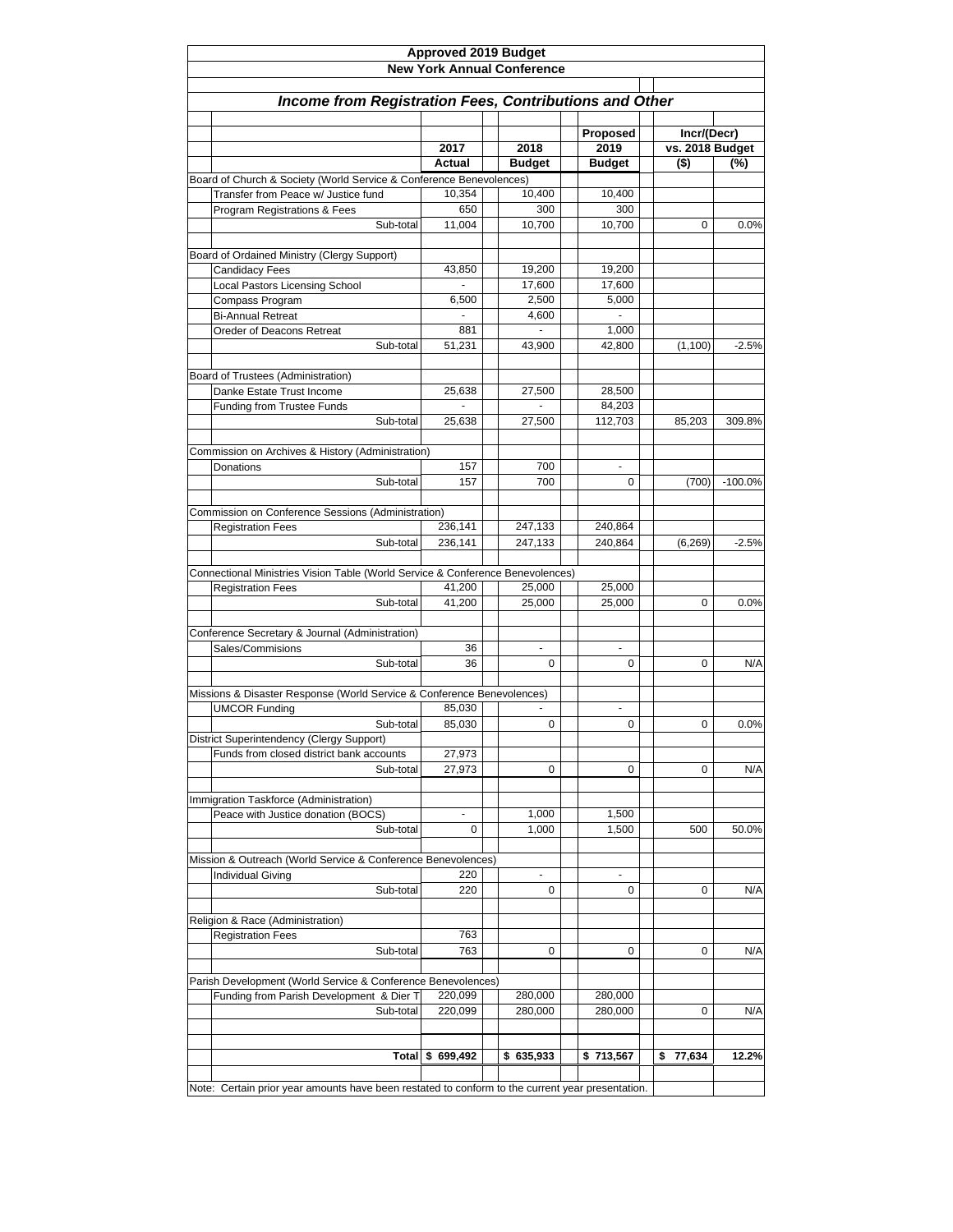| <b>New York Annual Conference</b><br>Income from Registration Fees, Contributions and Other<br>Incr/(Decr)<br>Proposed<br>vs. 2018 Budget<br>2017<br>2018<br>2019<br>$($ \$)<br>Actual<br><b>Budget</b><br><b>Budget</b><br>Board of Church & Society (World Service & Conference Benevolences)<br>Transfer from Peace w/ Justice fund<br>10,354<br>10,400<br>10,400<br>Program Registrations & Fees<br>650<br>300<br>300<br>Sub-total<br>11,004<br>10,700<br>10,700<br>0<br>Board of Ordained Ministry (Clergy Support)<br>Candidacy Fees<br>43,850<br>19,200<br>19,200<br>Local Pastors Licensing School<br>17,600<br>17,600<br>2,500<br>5,000<br>Compass Program<br>6,500<br><b>Bi-Annual Retreat</b><br>4,600<br>881<br>1,000<br>Oreder of Deacons Retreat<br>Sub-total<br>51,231<br>42,800<br>43,900<br>(1,100)<br>Board of Trustees (Administration)<br>27,500<br>28,500<br>Danke Estate Trust Income<br>25,638<br>84,203<br><b>Funding from Trustee Funds</b><br>Sub-total<br>25,638<br>27,500<br>112,703<br>85,203<br>Commission on Archives & History (Administration)<br>157<br>700<br>Donations<br>Sub-total<br>157<br>700<br>0<br>(700)<br>Commission on Conference Sessions (Administration)<br>236,141<br>247,133<br>240,864<br><b>Registration Fees</b><br>Sub-total<br>236,141<br>247,133<br>240,864<br>(6, 269)<br>Connectional Ministries Vision Table (World Service & Conference Benevolences)<br>41,200<br>25,000<br>25,000<br><b>Registration Fees</b><br>Sub-total<br>41,200<br>25,000<br>25,000<br>0<br>Conference Secretary & Journal (Administration)<br>Sales/Commisions<br>36<br>$\blacksquare$<br>$\blacksquare$<br>Sub-total<br>36<br>0<br>0<br>0<br>Missions & Disaster Response (World Service & Conference Benevolences)<br>85,030<br><b>UMCOR Funding</b><br>0<br>85,030<br>0<br>Sub-total<br>0<br>District Superintendency (Clergy Support)<br>27,973<br>Funds from closed district bank accounts<br>Sub-total<br>27,973<br>0<br>0<br>0<br>Immigration Taskforce (Administration)<br>Peace with Justice donation (BOCS)<br>1,500<br>1,000<br>$\blacksquare$<br>Sub-total<br>0<br>1,000<br>1,500<br>500<br>Mission & Outreach (World Service & Conference Benevolences)<br>220<br>Individual Giving<br>Sub-total<br>220<br>0<br>0<br>0<br>Religion & Race (Administration)<br>763<br><b>Registration Fees</b><br>763<br>Sub-total<br>0<br>0<br>0<br>Parish Development (World Service & Conference Benevolences)<br>220,099<br>280,000<br>280,000<br>Funding from Parish Development & Dier T<br>Sub-total<br>220,099<br>280,000<br>280,000<br>0<br>\$699,492<br>\$635,933<br>\$713,567<br>77,634<br>Total<br>\$ | Approved 2019 Budget |  |  |           |
|----------------------------------------------------------------------------------------------------------------------------------------------------------------------------------------------------------------------------------------------------------------------------------------------------------------------------------------------------------------------------------------------------------------------------------------------------------------------------------------------------------------------------------------------------------------------------------------------------------------------------------------------------------------------------------------------------------------------------------------------------------------------------------------------------------------------------------------------------------------------------------------------------------------------------------------------------------------------------------------------------------------------------------------------------------------------------------------------------------------------------------------------------------------------------------------------------------------------------------------------------------------------------------------------------------------------------------------------------------------------------------------------------------------------------------------------------------------------------------------------------------------------------------------------------------------------------------------------------------------------------------------------------------------------------------------------------------------------------------------------------------------------------------------------------------------------------------------------------------------------------------------------------------------------------------------------------------------------------------------------------------------------------------------------------------------------------------------------------------------------------------------------------------------------------------------------------------------------------------------------------------------------------------------------------------------------------------------------------------------------------------------------------------------------------------------------------------------------------------------------------------------------------------------------------------------------------------------------------------------------------------------------------|----------------------|--|--|-----------|
|                                                                                                                                                                                                                                                                                                                                                                                                                                                                                                                                                                                                                                                                                                                                                                                                                                                                                                                                                                                                                                                                                                                                                                                                                                                                                                                                                                                                                                                                                                                                                                                                                                                                                                                                                                                                                                                                                                                                                                                                                                                                                                                                                                                                                                                                                                                                                                                                                                                                                                                                                                                                                                                    |                      |  |  |           |
|                                                                                                                                                                                                                                                                                                                                                                                                                                                                                                                                                                                                                                                                                                                                                                                                                                                                                                                                                                                                                                                                                                                                                                                                                                                                                                                                                                                                                                                                                                                                                                                                                                                                                                                                                                                                                                                                                                                                                                                                                                                                                                                                                                                                                                                                                                                                                                                                                                                                                                                                                                                                                                                    |                      |  |  |           |
|                                                                                                                                                                                                                                                                                                                                                                                                                                                                                                                                                                                                                                                                                                                                                                                                                                                                                                                                                                                                                                                                                                                                                                                                                                                                                                                                                                                                                                                                                                                                                                                                                                                                                                                                                                                                                                                                                                                                                                                                                                                                                                                                                                                                                                                                                                                                                                                                                                                                                                                                                                                                                                                    |                      |  |  |           |
|                                                                                                                                                                                                                                                                                                                                                                                                                                                                                                                                                                                                                                                                                                                                                                                                                                                                                                                                                                                                                                                                                                                                                                                                                                                                                                                                                                                                                                                                                                                                                                                                                                                                                                                                                                                                                                                                                                                                                                                                                                                                                                                                                                                                                                                                                                                                                                                                                                                                                                                                                                                                                                                    |                      |  |  |           |
|                                                                                                                                                                                                                                                                                                                                                                                                                                                                                                                                                                                                                                                                                                                                                                                                                                                                                                                                                                                                                                                                                                                                                                                                                                                                                                                                                                                                                                                                                                                                                                                                                                                                                                                                                                                                                                                                                                                                                                                                                                                                                                                                                                                                                                                                                                                                                                                                                                                                                                                                                                                                                                                    |                      |  |  |           |
|                                                                                                                                                                                                                                                                                                                                                                                                                                                                                                                                                                                                                                                                                                                                                                                                                                                                                                                                                                                                                                                                                                                                                                                                                                                                                                                                                                                                                                                                                                                                                                                                                                                                                                                                                                                                                                                                                                                                                                                                                                                                                                                                                                                                                                                                                                                                                                                                                                                                                                                                                                                                                                                    |                      |  |  |           |
|                                                                                                                                                                                                                                                                                                                                                                                                                                                                                                                                                                                                                                                                                                                                                                                                                                                                                                                                                                                                                                                                                                                                                                                                                                                                                                                                                                                                                                                                                                                                                                                                                                                                                                                                                                                                                                                                                                                                                                                                                                                                                                                                                                                                                                                                                                                                                                                                                                                                                                                                                                                                                                                    |                      |  |  | (%)       |
|                                                                                                                                                                                                                                                                                                                                                                                                                                                                                                                                                                                                                                                                                                                                                                                                                                                                                                                                                                                                                                                                                                                                                                                                                                                                                                                                                                                                                                                                                                                                                                                                                                                                                                                                                                                                                                                                                                                                                                                                                                                                                                                                                                                                                                                                                                                                                                                                                                                                                                                                                                                                                                                    |                      |  |  |           |
|                                                                                                                                                                                                                                                                                                                                                                                                                                                                                                                                                                                                                                                                                                                                                                                                                                                                                                                                                                                                                                                                                                                                                                                                                                                                                                                                                                                                                                                                                                                                                                                                                                                                                                                                                                                                                                                                                                                                                                                                                                                                                                                                                                                                                                                                                                                                                                                                                                                                                                                                                                                                                                                    |                      |  |  |           |
|                                                                                                                                                                                                                                                                                                                                                                                                                                                                                                                                                                                                                                                                                                                                                                                                                                                                                                                                                                                                                                                                                                                                                                                                                                                                                                                                                                                                                                                                                                                                                                                                                                                                                                                                                                                                                                                                                                                                                                                                                                                                                                                                                                                                                                                                                                                                                                                                                                                                                                                                                                                                                                                    |                      |  |  |           |
|                                                                                                                                                                                                                                                                                                                                                                                                                                                                                                                                                                                                                                                                                                                                                                                                                                                                                                                                                                                                                                                                                                                                                                                                                                                                                                                                                                                                                                                                                                                                                                                                                                                                                                                                                                                                                                                                                                                                                                                                                                                                                                                                                                                                                                                                                                                                                                                                                                                                                                                                                                                                                                                    |                      |  |  | 0.0%      |
|                                                                                                                                                                                                                                                                                                                                                                                                                                                                                                                                                                                                                                                                                                                                                                                                                                                                                                                                                                                                                                                                                                                                                                                                                                                                                                                                                                                                                                                                                                                                                                                                                                                                                                                                                                                                                                                                                                                                                                                                                                                                                                                                                                                                                                                                                                                                                                                                                                                                                                                                                                                                                                                    |                      |  |  |           |
|                                                                                                                                                                                                                                                                                                                                                                                                                                                                                                                                                                                                                                                                                                                                                                                                                                                                                                                                                                                                                                                                                                                                                                                                                                                                                                                                                                                                                                                                                                                                                                                                                                                                                                                                                                                                                                                                                                                                                                                                                                                                                                                                                                                                                                                                                                                                                                                                                                                                                                                                                                                                                                                    |                      |  |  |           |
|                                                                                                                                                                                                                                                                                                                                                                                                                                                                                                                                                                                                                                                                                                                                                                                                                                                                                                                                                                                                                                                                                                                                                                                                                                                                                                                                                                                                                                                                                                                                                                                                                                                                                                                                                                                                                                                                                                                                                                                                                                                                                                                                                                                                                                                                                                                                                                                                                                                                                                                                                                                                                                                    |                      |  |  |           |
|                                                                                                                                                                                                                                                                                                                                                                                                                                                                                                                                                                                                                                                                                                                                                                                                                                                                                                                                                                                                                                                                                                                                                                                                                                                                                                                                                                                                                                                                                                                                                                                                                                                                                                                                                                                                                                                                                                                                                                                                                                                                                                                                                                                                                                                                                                                                                                                                                                                                                                                                                                                                                                                    |                      |  |  |           |
|                                                                                                                                                                                                                                                                                                                                                                                                                                                                                                                                                                                                                                                                                                                                                                                                                                                                                                                                                                                                                                                                                                                                                                                                                                                                                                                                                                                                                                                                                                                                                                                                                                                                                                                                                                                                                                                                                                                                                                                                                                                                                                                                                                                                                                                                                                                                                                                                                                                                                                                                                                                                                                                    |                      |  |  |           |
|                                                                                                                                                                                                                                                                                                                                                                                                                                                                                                                                                                                                                                                                                                                                                                                                                                                                                                                                                                                                                                                                                                                                                                                                                                                                                                                                                                                                                                                                                                                                                                                                                                                                                                                                                                                                                                                                                                                                                                                                                                                                                                                                                                                                                                                                                                                                                                                                                                                                                                                                                                                                                                                    |                      |  |  |           |
|                                                                                                                                                                                                                                                                                                                                                                                                                                                                                                                                                                                                                                                                                                                                                                                                                                                                                                                                                                                                                                                                                                                                                                                                                                                                                                                                                                                                                                                                                                                                                                                                                                                                                                                                                                                                                                                                                                                                                                                                                                                                                                                                                                                                                                                                                                                                                                                                                                                                                                                                                                                                                                                    |                      |  |  |           |
|                                                                                                                                                                                                                                                                                                                                                                                                                                                                                                                                                                                                                                                                                                                                                                                                                                                                                                                                                                                                                                                                                                                                                                                                                                                                                                                                                                                                                                                                                                                                                                                                                                                                                                                                                                                                                                                                                                                                                                                                                                                                                                                                                                                                                                                                                                                                                                                                                                                                                                                                                                                                                                                    |                      |  |  | $-2.5%$   |
|                                                                                                                                                                                                                                                                                                                                                                                                                                                                                                                                                                                                                                                                                                                                                                                                                                                                                                                                                                                                                                                                                                                                                                                                                                                                                                                                                                                                                                                                                                                                                                                                                                                                                                                                                                                                                                                                                                                                                                                                                                                                                                                                                                                                                                                                                                                                                                                                                                                                                                                                                                                                                                                    |                      |  |  |           |
|                                                                                                                                                                                                                                                                                                                                                                                                                                                                                                                                                                                                                                                                                                                                                                                                                                                                                                                                                                                                                                                                                                                                                                                                                                                                                                                                                                                                                                                                                                                                                                                                                                                                                                                                                                                                                                                                                                                                                                                                                                                                                                                                                                                                                                                                                                                                                                                                                                                                                                                                                                                                                                                    |                      |  |  |           |
|                                                                                                                                                                                                                                                                                                                                                                                                                                                                                                                                                                                                                                                                                                                                                                                                                                                                                                                                                                                                                                                                                                                                                                                                                                                                                                                                                                                                                                                                                                                                                                                                                                                                                                                                                                                                                                                                                                                                                                                                                                                                                                                                                                                                                                                                                                                                                                                                                                                                                                                                                                                                                                                    |                      |  |  |           |
|                                                                                                                                                                                                                                                                                                                                                                                                                                                                                                                                                                                                                                                                                                                                                                                                                                                                                                                                                                                                                                                                                                                                                                                                                                                                                                                                                                                                                                                                                                                                                                                                                                                                                                                                                                                                                                                                                                                                                                                                                                                                                                                                                                                                                                                                                                                                                                                                                                                                                                                                                                                                                                                    |                      |  |  |           |
|                                                                                                                                                                                                                                                                                                                                                                                                                                                                                                                                                                                                                                                                                                                                                                                                                                                                                                                                                                                                                                                                                                                                                                                                                                                                                                                                                                                                                                                                                                                                                                                                                                                                                                                                                                                                                                                                                                                                                                                                                                                                                                                                                                                                                                                                                                                                                                                                                                                                                                                                                                                                                                                    |                      |  |  | 309.8%    |
|                                                                                                                                                                                                                                                                                                                                                                                                                                                                                                                                                                                                                                                                                                                                                                                                                                                                                                                                                                                                                                                                                                                                                                                                                                                                                                                                                                                                                                                                                                                                                                                                                                                                                                                                                                                                                                                                                                                                                                                                                                                                                                                                                                                                                                                                                                                                                                                                                                                                                                                                                                                                                                                    |                      |  |  |           |
|                                                                                                                                                                                                                                                                                                                                                                                                                                                                                                                                                                                                                                                                                                                                                                                                                                                                                                                                                                                                                                                                                                                                                                                                                                                                                                                                                                                                                                                                                                                                                                                                                                                                                                                                                                                                                                                                                                                                                                                                                                                                                                                                                                                                                                                                                                                                                                                                                                                                                                                                                                                                                                                    |                      |  |  |           |
|                                                                                                                                                                                                                                                                                                                                                                                                                                                                                                                                                                                                                                                                                                                                                                                                                                                                                                                                                                                                                                                                                                                                                                                                                                                                                                                                                                                                                                                                                                                                                                                                                                                                                                                                                                                                                                                                                                                                                                                                                                                                                                                                                                                                                                                                                                                                                                                                                                                                                                                                                                                                                                                    |                      |  |  |           |
|                                                                                                                                                                                                                                                                                                                                                                                                                                                                                                                                                                                                                                                                                                                                                                                                                                                                                                                                                                                                                                                                                                                                                                                                                                                                                                                                                                                                                                                                                                                                                                                                                                                                                                                                                                                                                                                                                                                                                                                                                                                                                                                                                                                                                                                                                                                                                                                                                                                                                                                                                                                                                                                    |                      |  |  | $-100.0%$ |
|                                                                                                                                                                                                                                                                                                                                                                                                                                                                                                                                                                                                                                                                                                                                                                                                                                                                                                                                                                                                                                                                                                                                                                                                                                                                                                                                                                                                                                                                                                                                                                                                                                                                                                                                                                                                                                                                                                                                                                                                                                                                                                                                                                                                                                                                                                                                                                                                                                                                                                                                                                                                                                                    |                      |  |  |           |
|                                                                                                                                                                                                                                                                                                                                                                                                                                                                                                                                                                                                                                                                                                                                                                                                                                                                                                                                                                                                                                                                                                                                                                                                                                                                                                                                                                                                                                                                                                                                                                                                                                                                                                                                                                                                                                                                                                                                                                                                                                                                                                                                                                                                                                                                                                                                                                                                                                                                                                                                                                                                                                                    |                      |  |  |           |
|                                                                                                                                                                                                                                                                                                                                                                                                                                                                                                                                                                                                                                                                                                                                                                                                                                                                                                                                                                                                                                                                                                                                                                                                                                                                                                                                                                                                                                                                                                                                                                                                                                                                                                                                                                                                                                                                                                                                                                                                                                                                                                                                                                                                                                                                                                                                                                                                                                                                                                                                                                                                                                                    |                      |  |  |           |
|                                                                                                                                                                                                                                                                                                                                                                                                                                                                                                                                                                                                                                                                                                                                                                                                                                                                                                                                                                                                                                                                                                                                                                                                                                                                                                                                                                                                                                                                                                                                                                                                                                                                                                                                                                                                                                                                                                                                                                                                                                                                                                                                                                                                                                                                                                                                                                                                                                                                                                                                                                                                                                                    |                      |  |  |           |
|                                                                                                                                                                                                                                                                                                                                                                                                                                                                                                                                                                                                                                                                                                                                                                                                                                                                                                                                                                                                                                                                                                                                                                                                                                                                                                                                                                                                                                                                                                                                                                                                                                                                                                                                                                                                                                                                                                                                                                                                                                                                                                                                                                                                                                                                                                                                                                                                                                                                                                                                                                                                                                                    |                      |  |  | $-2.5%$   |
|                                                                                                                                                                                                                                                                                                                                                                                                                                                                                                                                                                                                                                                                                                                                                                                                                                                                                                                                                                                                                                                                                                                                                                                                                                                                                                                                                                                                                                                                                                                                                                                                                                                                                                                                                                                                                                                                                                                                                                                                                                                                                                                                                                                                                                                                                                                                                                                                                                                                                                                                                                                                                                                    |                      |  |  |           |
|                                                                                                                                                                                                                                                                                                                                                                                                                                                                                                                                                                                                                                                                                                                                                                                                                                                                                                                                                                                                                                                                                                                                                                                                                                                                                                                                                                                                                                                                                                                                                                                                                                                                                                                                                                                                                                                                                                                                                                                                                                                                                                                                                                                                                                                                                                                                                                                                                                                                                                                                                                                                                                                    |                      |  |  |           |
|                                                                                                                                                                                                                                                                                                                                                                                                                                                                                                                                                                                                                                                                                                                                                                                                                                                                                                                                                                                                                                                                                                                                                                                                                                                                                                                                                                                                                                                                                                                                                                                                                                                                                                                                                                                                                                                                                                                                                                                                                                                                                                                                                                                                                                                                                                                                                                                                                                                                                                                                                                                                                                                    |                      |  |  |           |
|                                                                                                                                                                                                                                                                                                                                                                                                                                                                                                                                                                                                                                                                                                                                                                                                                                                                                                                                                                                                                                                                                                                                                                                                                                                                                                                                                                                                                                                                                                                                                                                                                                                                                                                                                                                                                                                                                                                                                                                                                                                                                                                                                                                                                                                                                                                                                                                                                                                                                                                                                                                                                                                    |                      |  |  | 0.0%      |
|                                                                                                                                                                                                                                                                                                                                                                                                                                                                                                                                                                                                                                                                                                                                                                                                                                                                                                                                                                                                                                                                                                                                                                                                                                                                                                                                                                                                                                                                                                                                                                                                                                                                                                                                                                                                                                                                                                                                                                                                                                                                                                                                                                                                                                                                                                                                                                                                                                                                                                                                                                                                                                                    |                      |  |  |           |
|                                                                                                                                                                                                                                                                                                                                                                                                                                                                                                                                                                                                                                                                                                                                                                                                                                                                                                                                                                                                                                                                                                                                                                                                                                                                                                                                                                                                                                                                                                                                                                                                                                                                                                                                                                                                                                                                                                                                                                                                                                                                                                                                                                                                                                                                                                                                                                                                                                                                                                                                                                                                                                                    |                      |  |  |           |
|                                                                                                                                                                                                                                                                                                                                                                                                                                                                                                                                                                                                                                                                                                                                                                                                                                                                                                                                                                                                                                                                                                                                                                                                                                                                                                                                                                                                                                                                                                                                                                                                                                                                                                                                                                                                                                                                                                                                                                                                                                                                                                                                                                                                                                                                                                                                                                                                                                                                                                                                                                                                                                                    |                      |  |  |           |
|                                                                                                                                                                                                                                                                                                                                                                                                                                                                                                                                                                                                                                                                                                                                                                                                                                                                                                                                                                                                                                                                                                                                                                                                                                                                                                                                                                                                                                                                                                                                                                                                                                                                                                                                                                                                                                                                                                                                                                                                                                                                                                                                                                                                                                                                                                                                                                                                                                                                                                                                                                                                                                                    |                      |  |  | N/A       |
|                                                                                                                                                                                                                                                                                                                                                                                                                                                                                                                                                                                                                                                                                                                                                                                                                                                                                                                                                                                                                                                                                                                                                                                                                                                                                                                                                                                                                                                                                                                                                                                                                                                                                                                                                                                                                                                                                                                                                                                                                                                                                                                                                                                                                                                                                                                                                                                                                                                                                                                                                                                                                                                    |                      |  |  |           |
|                                                                                                                                                                                                                                                                                                                                                                                                                                                                                                                                                                                                                                                                                                                                                                                                                                                                                                                                                                                                                                                                                                                                                                                                                                                                                                                                                                                                                                                                                                                                                                                                                                                                                                                                                                                                                                                                                                                                                                                                                                                                                                                                                                                                                                                                                                                                                                                                                                                                                                                                                                                                                                                    |                      |  |  |           |
|                                                                                                                                                                                                                                                                                                                                                                                                                                                                                                                                                                                                                                                                                                                                                                                                                                                                                                                                                                                                                                                                                                                                                                                                                                                                                                                                                                                                                                                                                                                                                                                                                                                                                                                                                                                                                                                                                                                                                                                                                                                                                                                                                                                                                                                                                                                                                                                                                                                                                                                                                                                                                                                    |                      |  |  |           |
|                                                                                                                                                                                                                                                                                                                                                                                                                                                                                                                                                                                                                                                                                                                                                                                                                                                                                                                                                                                                                                                                                                                                                                                                                                                                                                                                                                                                                                                                                                                                                                                                                                                                                                                                                                                                                                                                                                                                                                                                                                                                                                                                                                                                                                                                                                                                                                                                                                                                                                                                                                                                                                                    |                      |  |  | 0.0%      |
|                                                                                                                                                                                                                                                                                                                                                                                                                                                                                                                                                                                                                                                                                                                                                                                                                                                                                                                                                                                                                                                                                                                                                                                                                                                                                                                                                                                                                                                                                                                                                                                                                                                                                                                                                                                                                                                                                                                                                                                                                                                                                                                                                                                                                                                                                                                                                                                                                                                                                                                                                                                                                                                    |                      |  |  |           |
|                                                                                                                                                                                                                                                                                                                                                                                                                                                                                                                                                                                                                                                                                                                                                                                                                                                                                                                                                                                                                                                                                                                                                                                                                                                                                                                                                                                                                                                                                                                                                                                                                                                                                                                                                                                                                                                                                                                                                                                                                                                                                                                                                                                                                                                                                                                                                                                                                                                                                                                                                                                                                                                    |                      |  |  |           |
|                                                                                                                                                                                                                                                                                                                                                                                                                                                                                                                                                                                                                                                                                                                                                                                                                                                                                                                                                                                                                                                                                                                                                                                                                                                                                                                                                                                                                                                                                                                                                                                                                                                                                                                                                                                                                                                                                                                                                                                                                                                                                                                                                                                                                                                                                                                                                                                                                                                                                                                                                                                                                                                    |                      |  |  | N/A       |
|                                                                                                                                                                                                                                                                                                                                                                                                                                                                                                                                                                                                                                                                                                                                                                                                                                                                                                                                                                                                                                                                                                                                                                                                                                                                                                                                                                                                                                                                                                                                                                                                                                                                                                                                                                                                                                                                                                                                                                                                                                                                                                                                                                                                                                                                                                                                                                                                                                                                                                                                                                                                                                                    |                      |  |  |           |
|                                                                                                                                                                                                                                                                                                                                                                                                                                                                                                                                                                                                                                                                                                                                                                                                                                                                                                                                                                                                                                                                                                                                                                                                                                                                                                                                                                                                                                                                                                                                                                                                                                                                                                                                                                                                                                                                                                                                                                                                                                                                                                                                                                                                                                                                                                                                                                                                                                                                                                                                                                                                                                                    |                      |  |  |           |
|                                                                                                                                                                                                                                                                                                                                                                                                                                                                                                                                                                                                                                                                                                                                                                                                                                                                                                                                                                                                                                                                                                                                                                                                                                                                                                                                                                                                                                                                                                                                                                                                                                                                                                                                                                                                                                                                                                                                                                                                                                                                                                                                                                                                                                                                                                                                                                                                                                                                                                                                                                                                                                                    |                      |  |  |           |
|                                                                                                                                                                                                                                                                                                                                                                                                                                                                                                                                                                                                                                                                                                                                                                                                                                                                                                                                                                                                                                                                                                                                                                                                                                                                                                                                                                                                                                                                                                                                                                                                                                                                                                                                                                                                                                                                                                                                                                                                                                                                                                                                                                                                                                                                                                                                                                                                                                                                                                                                                                                                                                                    |                      |  |  | 50.0%     |
|                                                                                                                                                                                                                                                                                                                                                                                                                                                                                                                                                                                                                                                                                                                                                                                                                                                                                                                                                                                                                                                                                                                                                                                                                                                                                                                                                                                                                                                                                                                                                                                                                                                                                                                                                                                                                                                                                                                                                                                                                                                                                                                                                                                                                                                                                                                                                                                                                                                                                                                                                                                                                                                    |                      |  |  |           |
|                                                                                                                                                                                                                                                                                                                                                                                                                                                                                                                                                                                                                                                                                                                                                                                                                                                                                                                                                                                                                                                                                                                                                                                                                                                                                                                                                                                                                                                                                                                                                                                                                                                                                                                                                                                                                                                                                                                                                                                                                                                                                                                                                                                                                                                                                                                                                                                                                                                                                                                                                                                                                                                    |                      |  |  |           |
|                                                                                                                                                                                                                                                                                                                                                                                                                                                                                                                                                                                                                                                                                                                                                                                                                                                                                                                                                                                                                                                                                                                                                                                                                                                                                                                                                                                                                                                                                                                                                                                                                                                                                                                                                                                                                                                                                                                                                                                                                                                                                                                                                                                                                                                                                                                                                                                                                                                                                                                                                                                                                                                    |                      |  |  |           |
|                                                                                                                                                                                                                                                                                                                                                                                                                                                                                                                                                                                                                                                                                                                                                                                                                                                                                                                                                                                                                                                                                                                                                                                                                                                                                                                                                                                                                                                                                                                                                                                                                                                                                                                                                                                                                                                                                                                                                                                                                                                                                                                                                                                                                                                                                                                                                                                                                                                                                                                                                                                                                                                    |                      |  |  | N/A       |
|                                                                                                                                                                                                                                                                                                                                                                                                                                                                                                                                                                                                                                                                                                                                                                                                                                                                                                                                                                                                                                                                                                                                                                                                                                                                                                                                                                                                                                                                                                                                                                                                                                                                                                                                                                                                                                                                                                                                                                                                                                                                                                                                                                                                                                                                                                                                                                                                                                                                                                                                                                                                                                                    |                      |  |  |           |
|                                                                                                                                                                                                                                                                                                                                                                                                                                                                                                                                                                                                                                                                                                                                                                                                                                                                                                                                                                                                                                                                                                                                                                                                                                                                                                                                                                                                                                                                                                                                                                                                                                                                                                                                                                                                                                                                                                                                                                                                                                                                                                                                                                                                                                                                                                                                                                                                                                                                                                                                                                                                                                                    |                      |  |  |           |
|                                                                                                                                                                                                                                                                                                                                                                                                                                                                                                                                                                                                                                                                                                                                                                                                                                                                                                                                                                                                                                                                                                                                                                                                                                                                                                                                                                                                                                                                                                                                                                                                                                                                                                                                                                                                                                                                                                                                                                                                                                                                                                                                                                                                                                                                                                                                                                                                                                                                                                                                                                                                                                                    |                      |  |  |           |
|                                                                                                                                                                                                                                                                                                                                                                                                                                                                                                                                                                                                                                                                                                                                                                                                                                                                                                                                                                                                                                                                                                                                                                                                                                                                                                                                                                                                                                                                                                                                                                                                                                                                                                                                                                                                                                                                                                                                                                                                                                                                                                                                                                                                                                                                                                                                                                                                                                                                                                                                                                                                                                                    |                      |  |  | N/A       |
|                                                                                                                                                                                                                                                                                                                                                                                                                                                                                                                                                                                                                                                                                                                                                                                                                                                                                                                                                                                                                                                                                                                                                                                                                                                                                                                                                                                                                                                                                                                                                                                                                                                                                                                                                                                                                                                                                                                                                                                                                                                                                                                                                                                                                                                                                                                                                                                                                                                                                                                                                                                                                                                    |                      |  |  |           |
|                                                                                                                                                                                                                                                                                                                                                                                                                                                                                                                                                                                                                                                                                                                                                                                                                                                                                                                                                                                                                                                                                                                                                                                                                                                                                                                                                                                                                                                                                                                                                                                                                                                                                                                                                                                                                                                                                                                                                                                                                                                                                                                                                                                                                                                                                                                                                                                                                                                                                                                                                                                                                                                    |                      |  |  |           |
|                                                                                                                                                                                                                                                                                                                                                                                                                                                                                                                                                                                                                                                                                                                                                                                                                                                                                                                                                                                                                                                                                                                                                                                                                                                                                                                                                                                                                                                                                                                                                                                                                                                                                                                                                                                                                                                                                                                                                                                                                                                                                                                                                                                                                                                                                                                                                                                                                                                                                                                                                                                                                                                    |                      |  |  |           |
|                                                                                                                                                                                                                                                                                                                                                                                                                                                                                                                                                                                                                                                                                                                                                                                                                                                                                                                                                                                                                                                                                                                                                                                                                                                                                                                                                                                                                                                                                                                                                                                                                                                                                                                                                                                                                                                                                                                                                                                                                                                                                                                                                                                                                                                                                                                                                                                                                                                                                                                                                                                                                                                    |                      |  |  | N/A       |
|                                                                                                                                                                                                                                                                                                                                                                                                                                                                                                                                                                                                                                                                                                                                                                                                                                                                                                                                                                                                                                                                                                                                                                                                                                                                                                                                                                                                                                                                                                                                                                                                                                                                                                                                                                                                                                                                                                                                                                                                                                                                                                                                                                                                                                                                                                                                                                                                                                                                                                                                                                                                                                                    |                      |  |  |           |
|                                                                                                                                                                                                                                                                                                                                                                                                                                                                                                                                                                                                                                                                                                                                                                                                                                                                                                                                                                                                                                                                                                                                                                                                                                                                                                                                                                                                                                                                                                                                                                                                                                                                                                                                                                                                                                                                                                                                                                                                                                                                                                                                                                                                                                                                                                                                                                                                                                                                                                                                                                                                                                                    |                      |  |  |           |
|                                                                                                                                                                                                                                                                                                                                                                                                                                                                                                                                                                                                                                                                                                                                                                                                                                                                                                                                                                                                                                                                                                                                                                                                                                                                                                                                                                                                                                                                                                                                                                                                                                                                                                                                                                                                                                                                                                                                                                                                                                                                                                                                                                                                                                                                                                                                                                                                                                                                                                                                                                                                                                                    |                      |  |  | 12.2%     |
|                                                                                                                                                                                                                                                                                                                                                                                                                                                                                                                                                                                                                                                                                                                                                                                                                                                                                                                                                                                                                                                                                                                                                                                                                                                                                                                                                                                                                                                                                                                                                                                                                                                                                                                                                                                                                                                                                                                                                                                                                                                                                                                                                                                                                                                                                                                                                                                                                                                                                                                                                                                                                                                    |                      |  |  |           |
| Note: Certain prior year amounts have been restated to conform to the current year presentation.                                                                                                                                                                                                                                                                                                                                                                                                                                                                                                                                                                                                                                                                                                                                                                                                                                                                                                                                                                                                                                                                                                                                                                                                                                                                                                                                                                                                                                                                                                                                                                                                                                                                                                                                                                                                                                                                                                                                                                                                                                                                                                                                                                                                                                                                                                                                                                                                                                                                                                                                                   |                      |  |  |           |